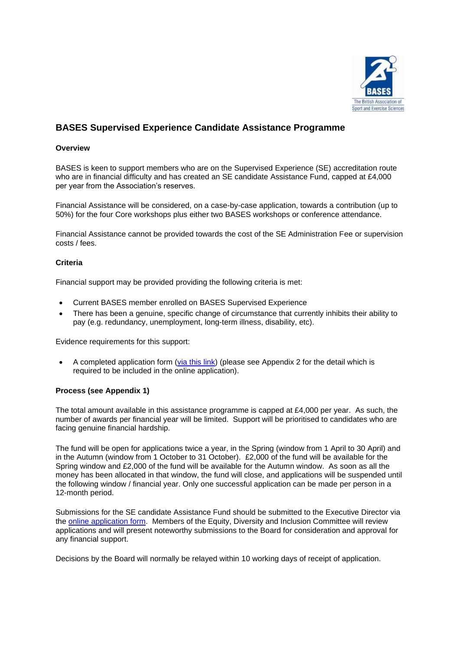

# **BASES Supervised Experience Candidate Assistance Programme**

#### **Overview**

BASES is keen to support members who are on the Supervised Experience (SE) accreditation route who are in financial difficulty and has created an SE candidate Assistance Fund, capped at £4,000 per year from the Association's reserves.

Financial Assistance will be considered, on a case-by-case application, towards a contribution (up to 50%) for the four Core workshops plus either two BASES workshops or conference attendance.

Financial Assistance cannot be provided towards the cost of the SE Administration Fee or supervision costs / fees.

#### **Criteria**

Financial support may be provided providing the following criteria is met:

- Current BASES member enrolled on BASES Supervised Experience
- There has been a genuine, specific change of circumstance that currently inhibits their ability to pay (e.g. redundancy, unemployment, long-term illness, disability, etc).

Evidence requirements for this support:

• A completed application form [\(via this link\)](https://www.cognitoforms.com/SpectuliseLtd/BASESSupervisedExperienceCandidateAssistanceProgramme) (please see Appendix 2 for the detail which is required to be included in the online application).

### **Process (see Appendix 1)**

The total amount available in this assistance programme is capped at £4,000 per year. As such, the number of awards per financial year will be limited. Support will be prioritised to candidates who are facing genuine financial hardship.

The fund will be open for applications twice a year, in the Spring (window from 1 April to 30 April) and in the Autumn (window from 1 October to 31 October). £2,000 of the fund will be available for the Spring window and £2,000 of the fund will be available for the Autumn window. As soon as all the money has been allocated in that window, the fund will close, and applications will be suspended until the following window / financial year. Only one successful application can be made per person in a 12-month period.

Submissions for the SE candidate Assistance Fund should be submitted to the Executive Director via the [online application form.](https://www.cognitoforms.com/SpectuliseLtd/BASESSupervisedExperienceCandidateAssistanceProgramme) Members of the Equity, Diversity and Inclusion Committee will review applications and will present noteworthy submissions to the Board for consideration and approval for any financial support.

Decisions by the Board will normally be relayed within 10 working days of receipt of application.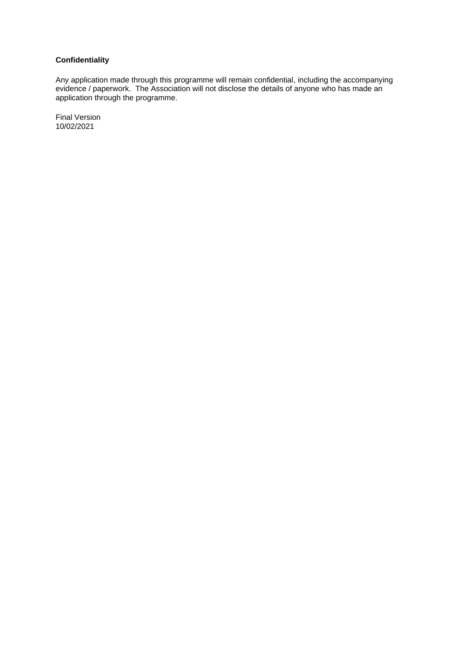# **Confidentiality**

Any application made through this programme will remain confidential, including the accompanying evidence / paperwork. The Association will not disclose the details of anyone who has made an application through the programme.

Final Version 10/02/2021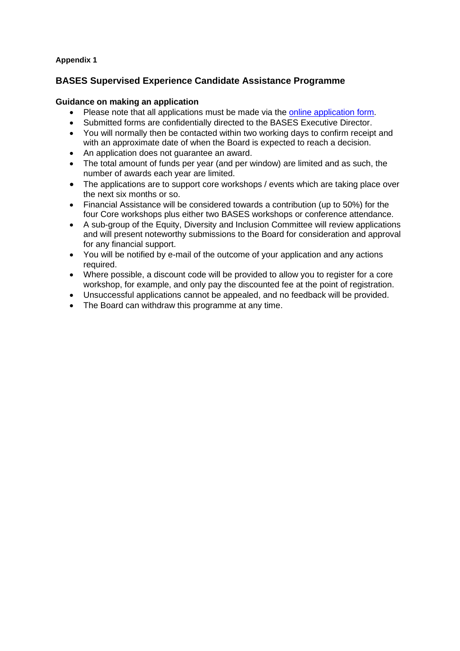## **Appendix 1**

## **BASES Supervised Experience Candidate Assistance Programme**

### **Guidance on making an application**

- Please note that all applications must be made via the [online application form.](https://www.cognitoforms.com/SpectuliseLtd/BASESSupervisedExperienceCandidateAssistanceProgramme)
- Submitted forms are confidentially directed to the BASES Executive Director.
- You will normally then be contacted within two working days to confirm receipt and with an approximate date of when the Board is expected to reach a decision.
- An application does not quarantee an award.
- The total amount of funds per year (and per window) are limited and as such, the number of awards each year are limited.
- The applications are to support core workshops / events which are taking place over the next six months or so.
- Financial Assistance will be considered towards a contribution (up to 50%) for the four Core workshops plus either two BASES workshops or conference attendance.
- A sub-group of the Equity, Diversity and Inclusion Committee will review applications and will present noteworthy submissions to the Board for consideration and approval for any financial support.
- You will be notified by e-mail of the outcome of your application and any actions required.
- Where possible, a discount code will be provided to allow you to register for a core workshop, for example, and only pay the discounted fee at the point of registration.
- Unsuccessful applications cannot be appealed, and no feedback will be provided.
- The Board can withdraw this programme at any time.